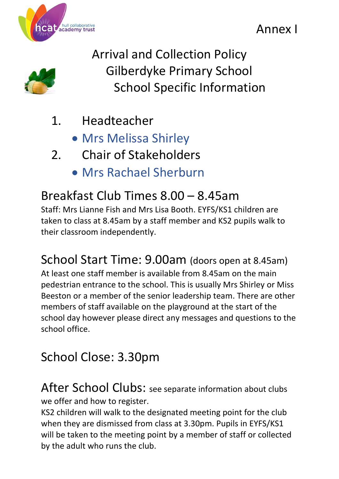



Arrival and Collection Policy Gilberdyke Primary School School Specific Information

- 1. Headteacher
	- Mrs Melissa Shirley
- 2. Chair of Stakeholders
	- Mrs Rachael Sherburn

# Breakfast Club Times 8.00 – 8.45am

Staff: Mrs Lianne Fish and Mrs Lisa Booth. EYFS/KS1 children are taken to class at 8.45am by a staff member and KS2 pupils walk to their classroom independently.

School Start Time: 9.00am (doors open at 8.45am) At least one staff member is available from 8.45am on the main pedestrian entrance to the school. This is usually Mrs Shirley or Miss Beeston or a member of the senior leadership team. There are other members of staff available on the playground at the start of the school day however please direct any messages and questions to the school office.

# School Close: 3.30pm

After School Clubs: see separate information about clubs we offer and how to register.

KS2 children will walk to the designated meeting point for the club when they are dismissed from class at 3.30pm. Pupils in EYFS/KS1 will be taken to the meeting point by a member of staff or collected by the adult who runs the club.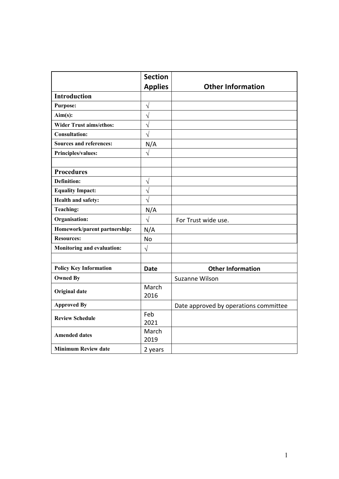|                                | <b>Section</b> |                                       |
|--------------------------------|----------------|---------------------------------------|
|                                | <b>Applies</b> | <b>Other Information</b>              |
| <b>Introduction</b>            |                |                                       |
| <b>Purpose:</b>                | $\sqrt{}$      |                                       |
| $Aim(s)$ :                     | $\sqrt{}$      |                                       |
| <b>Wider Trust aims/ethos:</b> | $\sqrt{ }$     |                                       |
| <b>Consultation:</b>           | $\sqrt{ }$     |                                       |
| <b>Sources and references:</b> | N/A            |                                       |
| Principles/values:             | $\sqrt{2}$     |                                       |
|                                |                |                                       |
| <b>Procedures</b>              |                |                                       |
| <b>Definition:</b>             | $\sqrt{}$      |                                       |
| <b>Equality Impact:</b>        | $\sqrt{}$      |                                       |
| Health and safety:             | $\sqrt{}$      |                                       |
| <b>Teaching:</b>               | N/A            |                                       |
| Organisation:                  | $\sqrt{}$      | For Trust wide use.                   |
| Homework/parent partnership:   | N/A            |                                       |
| <b>Resources:</b>              | No             |                                       |
| Monitoring and evaluation:     | $\sqrt{ }$     |                                       |
|                                |                |                                       |
| <b>Policy Key Information</b>  | <b>Date</b>    | <b>Other Information</b>              |
| <b>Owned By</b>                |                | Suzanne Wilson                        |
| <b>Original date</b>           | March          |                                       |
|                                | 2016           |                                       |
| <b>Approved By</b>             |                | Date approved by operations committee |
| <b>Review Schedule</b>         | Feb            |                                       |
|                                | 2021           |                                       |
| <b>Amended dates</b>           | March          |                                       |
|                                | 2019           |                                       |
| <b>Minimum Review date</b>     | 2 years        |                                       |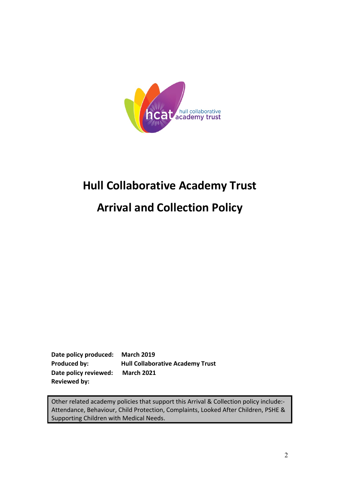

# **Hull Collaborative Academy Trust**

# **Arrival and Collection Policy**

**Date policy produced: March 2019 Produced by: Hull Collaborative Academy Trust Date policy reviewed: March 2021 Reviewed by:** 

Other related academy policies that support this Arrival & Collection policy include:- Attendance, Behaviour, Child Protection, Complaints, Looked After Children, PSHE & Supporting Children with Medical Needs.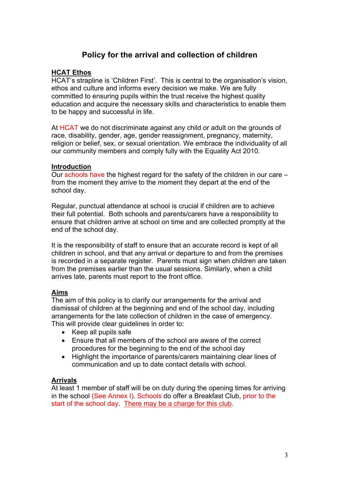# **Policy for the arrival and collection of children**

#### **HCAT Ethos**

HCAT's strapline is 'Children First'. This is central to the organisation's vision, ethos and culture and informs every decision we make. We are fully committed to ensuring pupils within the trust receive the highest quality education and acquire the necessary skills and characteristics to enable them to be happy and successful in life.

At HCAT we do not discriminate against any child or adult on the grounds of race, disability, gender, age, gender reassignment, pregnancy, maternity, religion or belief, sex, or sexual orientation. We embrace the individuality of all our community members and comply fully with the Equality Act 2010.

#### **Introduction**

Our schools have the highest regard for the safety of the children in our care – from the moment they arrive to the moment they depart at the end of the school day.

Regular, punctual attendance at school is crucial if children are to achieve their full potential. Both schools and parents/carers have a responsibility to ensure that children arrive at school on time and are collected promptly at the end of the school day.

It is the responsibility of staff to ensure that an accurate record is kept of all children in school, and that any arrival or departure to and from the premises is recorded in a separate register. Parents must sign when children are taken from the premises earlier than the usual sessions. Similarly, when a child arrives late, parents must report to the front office.

### **Aims**

The aim of this policy is to clarify our arrangements for the arrival and dismissal of children at the beginning and end of the school day, including arrangements for the late collection of children in the case of emergency. This will provide clear guidelines in order to:

- Keep all pupils safe
- Ensure that all members of the school are aware of the correct procedures for the beginning to the end of the school day
- Highlight the importance of parents/carers maintaining clear lines of communication and up to date contact details with school.

### **Arrivals**

At least 1 member of staff will be on duty during the opening times for arriving in the school (See Annex I). Schools do offer a Breakfast Club, prior to the start of the school day. There may be a charge for this club.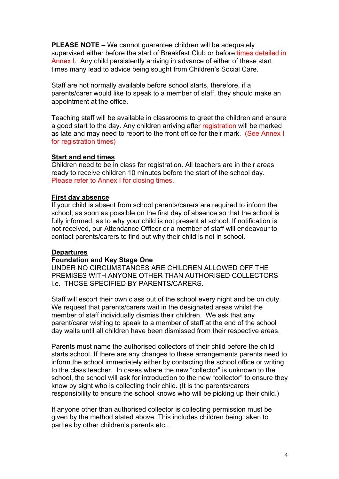**PLEASE NOTE** – We cannot guarantee children will be adequately supervised either before the start of Breakfast Club or before times detailed in Annex I. Any child persistently arriving in advance of either of these start times many lead to advice being sought from Children's Social Care.

Staff are not normally available before school starts, therefore, if a parents/carer would like to speak to a member of staff, they should make an appointment at the office.

Teaching staff will be available in classrooms to greet the children and ensure a good start to the day. Any children arriving after registration will be marked as late and may need to report to the front office for their mark. (See Annex I for registration times)

#### **Start and end times**

Children need to be in class for registration. All teachers are in their areas ready to receive children 10 minutes before the start of the school day. Please refer to Annex I for closing times.

#### **First day absence**

If your child is absent from school parents/carers are required to inform the school, as soon as possible on the first day of absence so that the school is fully informed, as to why your child is not present at school. If notification is not received, our Attendance Officer or a member of staff will endeavour to contact parents/carers to find out why their child is not in school.

#### **Departures**

#### **Foundation and Key Stage One**

UNDER NO CIRCUMSTANCES ARE CHILDREN ALLOWED OFF THE PREMISES WITH ANYONE OTHER THAN AUTHORISED COLLECTORS i.e. THOSE SPECIFIED BY PARENTS/CARERS.

Staff will escort their own class out of the school every night and be on duty. We request that parents/carers wait in the designated areas whilst the member of staff individually dismiss their children. We ask that any parent/carer wishing to speak to a member of staff at the end of the school day waits until all children have been dismissed from their respective areas.

Parents must name the authorised collectors of their child before the child starts school. If there are any changes to these arrangements parents need to inform the school immediately either by contacting the school office or writing to the class teacher. In cases where the new "collector" is unknown to the school, the school will ask for introduction to the new "collector" to ensure they know by sight who is collecting their child. (It is the parents/carers responsibility to ensure the school knows who will be picking up their child.)

If anyone other than authorised collector is collecting permission must be given by the method stated above. This includes children being taken to parties by other children's parents etc...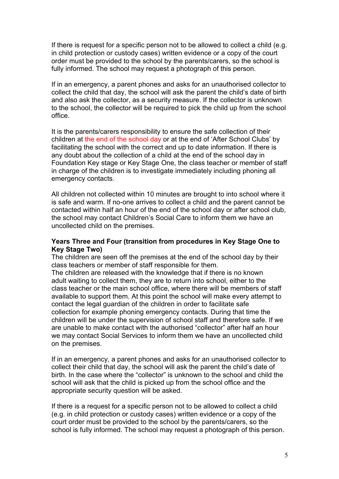If there is request for a specific person not to be allowed to collect a child (e.g. in child protection or custody cases) written evidence or a copy of the court order must be provided to the school by the parents/carers, so the school is fully informed. The school may request a photograph of this person.

If in an emergency, a parent phones and asks for an unauthorised collector to collect the child that day, the school will ask the parent the child's date of birth and also ask the collector, as a security measure. If the collector is unknown to the school, the collector will be required to pick the child up from the school office.

It is the parents/carers responsibility to ensure the safe collection of their children at the end of the school day or at the end of 'After School Clubs' by facilitating the school with the correct and up to date information. If there is any doubt about the collection of a child at the end of the school day in Foundation Key stage or Key Stage One, the class teacher or member of staff in charge of the children is to investigate immediately including phoning all emergency contacts.

All children not collected within 10 minutes are brought to into school where it is safe and warm. If no-one arrives to collect a child and the parent cannot be contacted within half an hour of the end of the school day or after school club, the school may contact Children's Social Care to inform them we have an uncollected child on the premises.

#### **Years Three and Four (transition from procedures in Key Stage One to Key Stage Two)**

The children are seen off the premises at the end of the school day by their class teachers or member of staff responsible for them.

The children are released with the knowledge that if there is no known adult waiting to collect them, they are to return into school, either to the class teacher or the main school office, where there will be members of staff available to support them. At this point the school will make every attempt to contact the legal guardian of the children in order to facilitate safe collection for example phoning emergency contacts. During that time the children will be under the supervision of school staff and therefore safe. If we are unable to make contact with the authorised "collector" after half an hour we may contact Social Services to inform them we have an uncollected child on the premises.

If in an emergency, a parent phones and asks for an unauthorised collector to collect their child that day, the school will ask the parent the child's date of birth. In the case where the "collector" is unknown to the school and child the school will ask that the child is picked up from the school office and the appropriate security question will be asked.

If there is a request for a specific person not to be allowed to collect a child (e.g. in child protection or custody cases) written evidence or a copy of the court order must be provided to the school by the parents/carers, so the school is fully informed. The school may request a photograph of this person.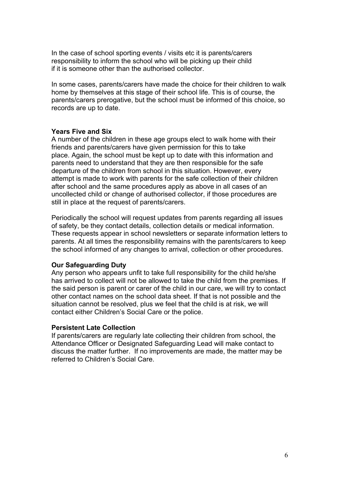In the case of school sporting events / visits etc it is parents/carers responsibility to inform the school who will be picking up their child if it is someone other than the authorised collector.

In some cases, parents/carers have made the choice for their children to walk home by themselves at this stage of their school life. This is of course, the parents/carers prerogative, but the school must be informed of this choice, so records are up to date.

#### **Years Five and Six**

A number of the children in these age groups elect to walk home with their friends and parents/carers have given permission for this to take place. Again, the school must be kept up to date with this information and parents need to understand that they are then responsible for the safe departure of the children from school in this situation. However, every attempt is made to work with parents for the safe collection of their children after school and the same procedures apply as above in all cases of an uncollected child or change of authorised collector, if those procedures are still in place at the request of parents/carers.

Periodically the school will request updates from parents regarding all issues of safety, be they contact details, collection details or medical information. These requests appear in school newsletters or separate information letters to parents. At all times the responsibility remains with the parents/carers to keep the school informed of any changes to arrival, collection or other procedures.

#### **Our Safeguarding Duty**

Any person who appears unfit to take full responsibility for the child he/she has arrived to collect will not be allowed to take the child from the premises. If the said person is parent or carer of the child in our care, we will try to contact other contact names on the school data sheet. If that is not possible and the situation cannot be resolved, plus we feel that the child is at risk, we will contact either Children's Social Care or the police.

#### **Persistent Late Collection**

If parents/carers are regularly late collecting their children from school, the Attendance Officer or Designated Safeguarding Lead will make contact to discuss the matter further. If no improvements are made, the matter may be referred to Children's Social Care.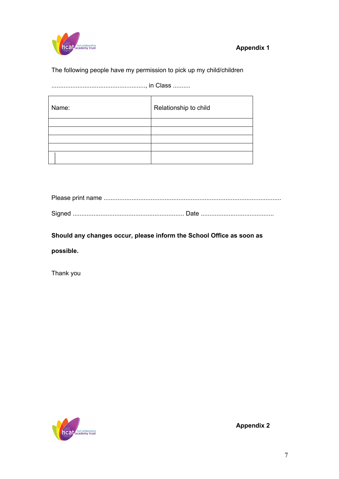

## The following people have my permission to pick up my child/children

......................................................, in Class ..........

| Name: | Relationship to child |
|-------|-----------------------|
|       |                       |
|       |                       |
|       |                       |
|       |                       |
|       |                       |

**Should any changes occur, please inform the School Office as soon as** 

**possible.**

Thank you



**Appendix 2**